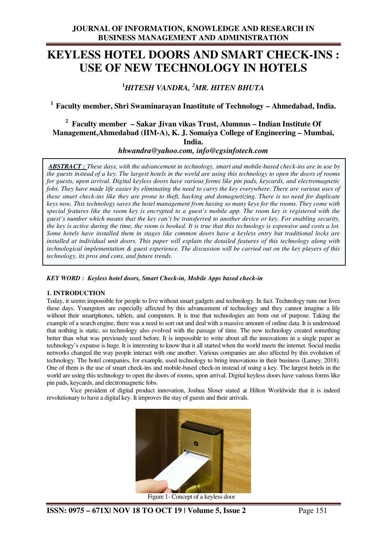# **KEYLESS HOTEL DOORS AND SMART CHECK-INS : USE OF NEW TECHNOLOGY IN HOTELS**

**<sup>1</sup>***HITESH VANDRA, <sup>2</sup>MR. HITEN BHUTA* 

**<sup>1</sup>Faculty member, Shri Swaminarayan Inastitute of Technology – Ahmedabad, India.** 

# **<sup>2</sup>Faculty member – Sakar Jivan vikas Trust, Alumnus – Indian Institute Of Management,Ahmedabad (IIM-A), K. J. Somaiya College of Engineering – Mumbai, India.**

*hhwandra@yahoo.com, info@cgsinfotech.com* 

 *ABSTRACT : These days, with the advancement in technology, smart and mobile-based check-ins are in use by the guests instead of a key. The largest hotels in the world are using this technology to open the doors of rooms for guests, upon arrival. Digital keyless doors have various forms like pin pads, keycards, and electromagnetic fobs. They have made life easier by eliminating the need to carry the key everywhere. There are various uses of these smart check-ins like they are prone to theft, hacking and demagnetizing. There is no need for duplicate keys now. This technology saves the hotel management from having so many keys for the rooms. They come with special features like the room key is encrypted to a guest's mobile app. The room key is registered with the guest's number which means that the key can't be transferred to another device or key. For enabling security, the key is active during the time, the room is booked. It is true that this technology is expensive and costs a lot. Some hotels have installed them in stages like common doors have a keyless entry but traditional locks are installed at individual unit doors. This paper will explain the detailed features of this technology along with technological implementation & guest experience. The discussion will be carried out on the key players of this technology, its pros and cons, and future trends.*

*KEY WORD : Keyless hotel doors, Smart Check-in, Mobile Apps based check-in*

### **1. INTRODUCTION**

Today, it seems impossible for people to live without smart gadgets and technology. In fact. Technology runs our lives these days. Youngsters are especially affected by this advancement of technology and they cannot imagine a life without their smartphones, tablets, and computers. It is true that technologies are born out of purpose. Taking the example of a search engine, there was a need to sort out and deal with a massive amount of online data. It is understood that nothing is static, so technology also evolved with the passage of time. The new technology created something better than what was previously used before. It is impossible to write about all the innovations in a single paper as technology's expanse is huge. It is interesting to know that it all started when the world meets the internet. Social media networks changed the way people interact with one another. Various companies are also affected by this evolution of technology. The hotel companies, for example, used technology to bring innovations in their business (Lamey, 2018). One of them is the use of smart check-ins and mobile-based check-in instead of using a key. The largest hotels in the world are using this technology to open the doors of rooms, upon arrival. Digital keyless doors have various forms like pin pads, keycards, and electromagnetic fobs.

 Vice president of digital product innovation, Joshua Sloser stated at Hilton Worldwide that it is indeed revolutionary to have a digital key. It improves the stay of guests and their arrivals.



Figure 1- Concept of a keyless door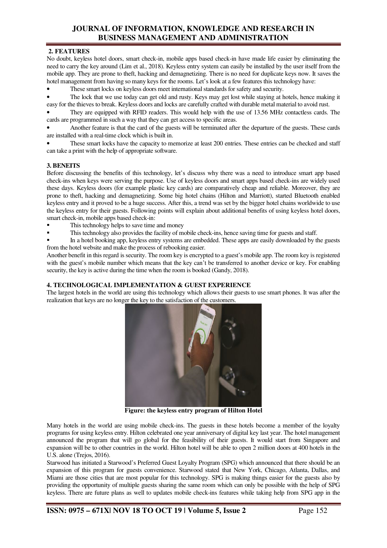# **JOURNAL OF INFORMATION, KNOWLEDGE AND RESEARCH IN BUSINESS MANAGEMENT AND ADMINISTRATION**

### **2. FEATURES**

No doubt, keyless hotel doors, smart check-in, mobile apps based check-in have made life easier by eliminating the need to carry the key around (Lim et al., 2018). Keyless entry system can easily be installed by the user itself from the mobile app. They are prone to theft, hacking and demagnetizing. There is no need for duplicate keys now. It saves the hotel management from having so many keys for the rooms. Let's look at a few features this technology have:

• These smart locks on keyless doors meet international standards for safety and security.

• The lock that we use today can get old and rusty. Keys may get lost while staying at hotels, hence making it easy for the thieves to break. Keyless doors and locks are carefully crafted with durable metal material to avoid rust.

• They are equipped with RFID readers. This would help with the use of 13.56 MHz contactless cards. The cards are programmed in such a way that they can get access to specific areas.

• Another feature is that the card of the guests will be terminated after the departure of the guests. These cards are installed with a real-time clock which is built in.

These smart locks have the capacity to memorize at least 200 entries. These entries can be checked and staff can take a print with the help of appropriate software.

### **3. BENEITS**

Before discussing the benefits of this technology, let's discuss why there was a need to introduce smart app based check-ins when keys were serving the purpose. Use of keyless doors and smart apps based check-ins are widely used these days. Keyless doors (for example plastic key cards) are comparatively cheap and reliable. Moreover, they are prone to theft, hacking and demagnetizing. Some big hotel chains (Hilton and Marriott), started Bluetooth enabled keyless entry and it proved to be a huge success. After this, a trend was set by the bigger hotel chains worldwide to use the keyless entry for their guests. Following points will explain about additional benefits of using keyless hotel doors, smart check-in, mobile apps based check-in:

- This technology helps to save time and money
- This technology also provides the facility of mobile check-ins, hence saving time for guests and staff.

 In a hotel booking app, keyless entry systems are embedded. These apps are easily downloaded by the guests from the hotel website and make the process of rebooking easier.

Another benefit in this regard is security. The room key is encrypted to a guest's mobile app. The room key is registered with the guest's mobile number which means that the key can't be transferred to another device or key. For enabling security, the key is active during the time when the room is booked (Gandy, 2018).

### **4. TECHNOLOGICAL IMPLEMENTATION & GUEST EXPERIENCE**

The largest hotels in the world are using this technology which allows their guests to use smart phones. It was after the realization that keys are no longer the key to the satisfaction of the customers.



 **Figure: the keyless entry program of Hilton Hotel** 

Many hotels in the world are using mobile check-ins. The guests in these hotels become a member of the loyalty programs for using keyless entry. Hilton celebrated one year anniversary of digital key last year. The hotel management announced the program that will go global for the feasibility of their guests. It would start from Singapore and expansion will be to other countries in the world. Hilton hotel will be able to open 2 million doors at 400 hotels in the U.S. alone (Trejos, 2016).

Starwood has initiated a Starwood's Preferred Guest Loyalty Program (SPG) which announced that there should be an expansion of this program for guests convenience. Starwood stated that New York, Chicago, Atlanta, Dallas, and Miami are those cities that are most popular for this technology. SPG is making things easier for the guests also by providing the opportunity of multiple guests sharing the same room which can only be possible with the help of SPG keyless. There are future plans as well to updates mobile check-ins features while taking help from SPG app in the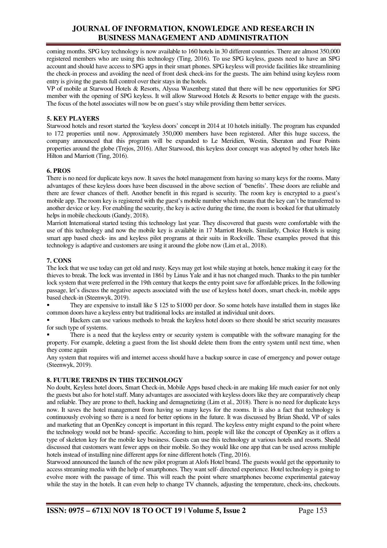### **JOURNAL OF INFORMATION, KNOWLEDGE AND RESEARCH IN BUSINESS MANAGEMENT AND ADMINISTRATION**

coming months. SPG key technology is now available to 160 hotels in 30 different countries. There are almost 350,000 registered members who are using this technology (Ting, 2016). To use SPG keyless, guests need to have an SPG account and should have access to SPG apps in their smart phones. SPG keyless will provide facilities like streamlining the check-in process and avoiding the need of front desk check-ins for the guests. The aim behind using keyless room entry is giving the guests full control over their stays in the hotels.

VP of mobile at Starwood Hotels & Resorts, Alyssa Waxenberg stated that there will be new opportunities for SPG member with the opening of SPG keyless. It will allow Starwood Hotels & Resorts to better engage with the guests. The focus of the hotel associates will now be on guest's stay while providing them better services.

### **5. KEY PLAYERS**

Starwood hotels and resort started the 'keyless doors' concept in 2014 at 10 hotels initially. The program has expanded to 172 properties until now. Approximately 350,000 members have been registered. After this huge success, the company announced that this program will be expanded to Le Meridien, Westin, Sheraton and Four Points properties around the globe (Trejos, 2016). After Starwood, this keyless door concept was adopted by other hotels like Hilton and Marriott (Ting, 2016).

#### **6. PROS**

There is no need for duplicate keys now. It saves the hotel management from having so many keys for the rooms. Many advantages of these keyless doors have been discussed in the above section of 'benefits'. These doors are reliable and there are fewer chances of theft. Another benefit in this regard is security. The room key is encrypted to a guest's mobile app. The room key is registered with the guest's mobile number which means that the key can't be transferred to another device or key. For enabling the security, the key is active during the time, the room is booked for that ultimately helps in mobile checkouts (Gandy, 2018).

Marriott International started testing this technology last year. They discovered that guests were comfortable with the use of this technology and now the mobile key is available in 17 Marriott Hotels. Similarly, Choice Hotels is using smart app based check- ins and keyless pilot programs at their suits in Rockville. These examples proved that this technology is adaptive and customers are using it around the globe now (Lim et al., 2018).

#### **7. CONS**

The lock that we use today can get old and rusty. Keys may get lost while staying at hotels, hence making it easy for the thieves to break. The lock was invented in 1861 by Linus Yale and it has not changed much. Thanks to the pin tumbler lock system that were preferred in the 19th century that keeps the entry point save for affordable prices. In the following passage, let's discuss the negative aspects associated with the use of keyless hotel doors, smart check-in, mobile apps based check-in (Steenwyk, 2019).

 They are expensive to install like \$ 125 to \$1000 per door. So some hotels have installed them in stages like common doors have a keyless entry but traditional locks are installed at individual unit doors.

 Hackers can use various methods to break the keyless hotel doors so there should be strict security measures for such type of systems.

 There is a need that the keyless entry or security system is compatible with the software managing for the property. For example, deleting a guest from the list should delete them from the entry system until next time, when they come again

Any system that requires wifi and internet access should have a backup source in case of emergency and power outage (Steenwyk, 2019).

### **8. FUTURE TRENDS IN THIS TECHNOLOGY**

No doubt, Keyless hotel doors, Smart Check-in, Mobile Apps based check-in are making life much easier for not only the guests but also for hotel staff. Many advantages are associated with keyless doors like they are comparatively cheap and reliable. They are prone to theft, hacking and demagnetizing (Lim et al., 2018). There is no need for duplicate keys now. It saves the hotel management from having so many keys for the rooms. It is also a fact that technology is continuously evolving so there is a need for better options in the future. It was discussed by Brian Shedd, VP of sales and marketing that an OpenKey concept is important in this regard. The keyless entry might expand to the point where the technology would not be brand- specific. According to him, people will like the concept of OpenKey as it offers a type of skeleton key for the mobile key business. Guests can use this technology at various hotels and resorts. Shedd discussed that customers want fewer apps on their mobile. So they would like one app that can be used across multiple hotels instead of installing nine different apps for nine different hotels (Ting, 2016).

Starwood announced the launch of the new pilot program at Alofs Hotel brand. The guests would get the opportunity to access streaming media with the help of smartphones. They want self- directed experience. Hotel technology is going to evolve more with the passage of time. This will reach the point where smartphones become experimental gateway while the stay in the hotels. It can even help to change TV channels, adjusting the temperature, check-ins, checkouts.